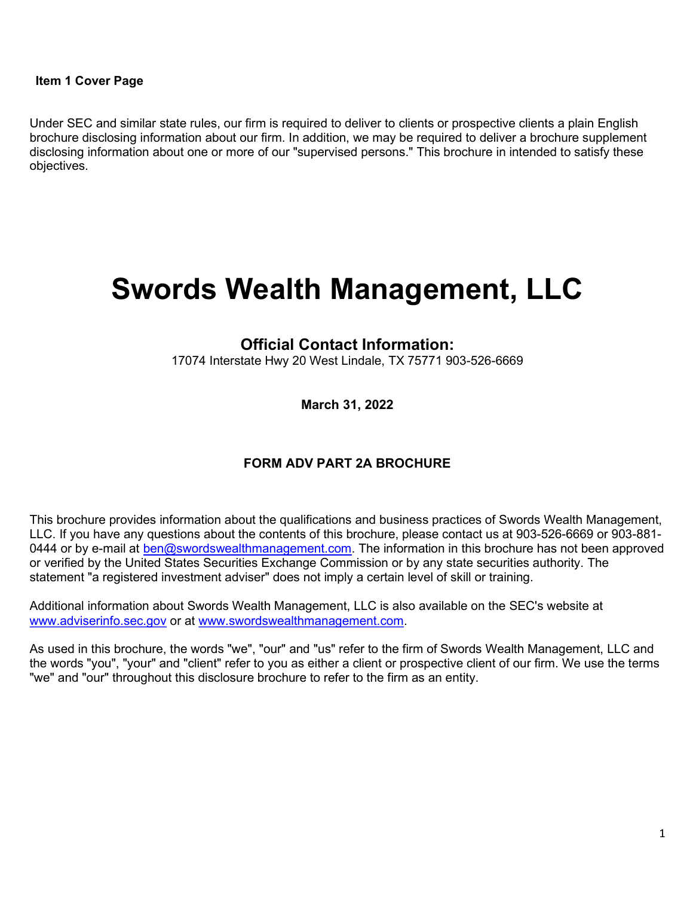#### Item 1 Cover Page

Under SEC and similar state rules, our firm is required to deliver to clients or prospective clients a plain English brochure disclosing information about our firm. In addition, we may be required to deliver a brochure supplement disclosing information about one or more of our "supervised persons." This brochure in intended to satisfy these objectives.

# Swords Wealth Management, LLC

#### Official Contact Information:

17074 Interstate Hwy 20 West Lindale, TX 75771 903-526-6669

March 31, 2022

#### FORM ADV PART 2A BROCHURE

This brochure provides information about the qualifications and business practices of Swords Wealth Management, LLC. If you have any questions about the contents of this brochure, please contact us at 903-526-6669 or 903-881- 0444 or by e-mail at ben@swordswealthmanagement.com. The information in this brochure has not been approved or verified by the United States Securities Exchange Commission or by any state securities authority. The statement "a registered investment adviser" does not imply a certain level of skill or training.

Additional information about Swords Wealth Management, LLC is also available on the SEC's website at www.adviserinfo.sec.gov or at www.swordswealthmanagement.com.

As used in this brochure, the words "we", "our" and "us" refer to the firm of Swords Wealth Management, LLC and the words "you", "your" and "client" refer to you as either a client or prospective client of our firm. We use the terms "we" and "our" throughout this disclosure brochure to refer to the firm as an entity.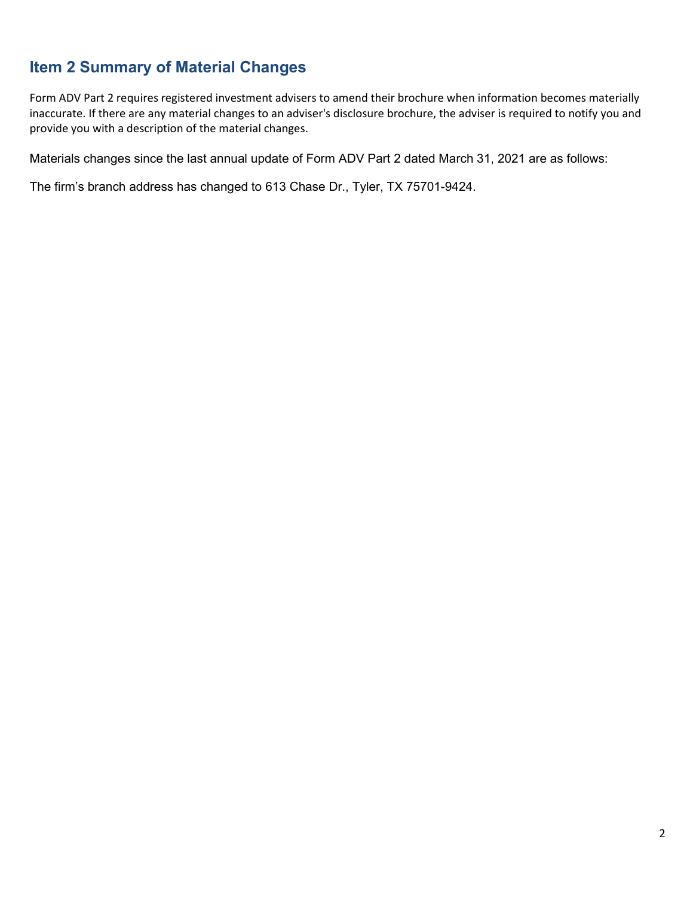## Item 2 Summary of Material Changes

Form ADV Part 2 requires registered investment advisers to amend their brochure when information becomes materially inaccurate. If there are any material changes to an adviser's disclosure brochure, the adviser is required to notify you and provide you with a description of the material changes.

Materials changes since the last annual update of Form ADV Part 2 dated March 31, 2021 are as follows:

The firm's branch address has changed to 613 Chase Dr., Tyler, TX 75701-9424.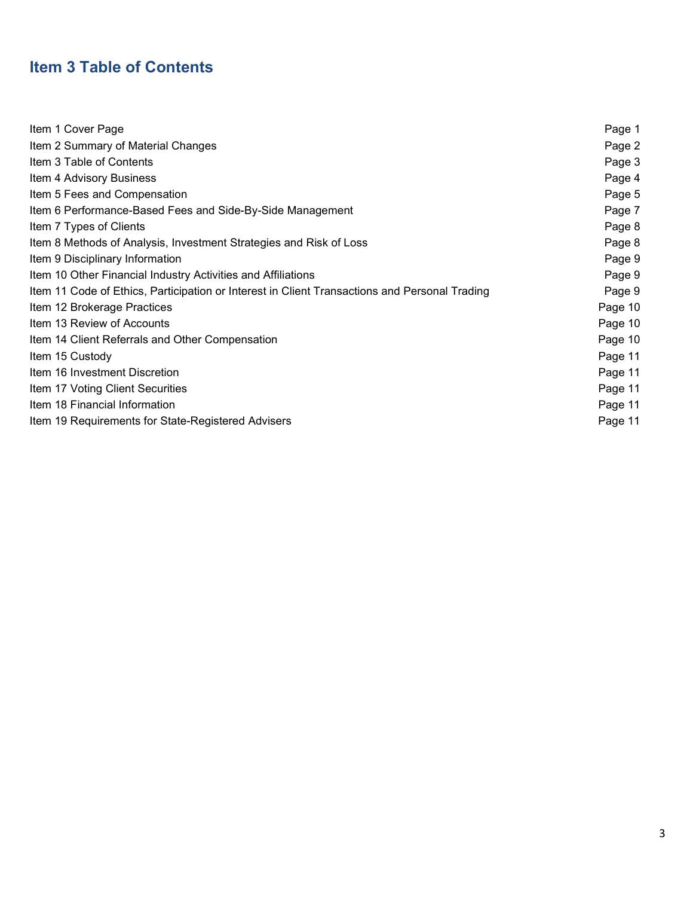## Item 3 Table of Contents

| Item 1 Cover Page                                                                             | Page 1  |
|-----------------------------------------------------------------------------------------------|---------|
| Item 2 Summary of Material Changes                                                            | Page 2  |
| Item 3 Table of Contents                                                                      | Page 3  |
| Item 4 Advisory Business                                                                      | Page 4  |
| Item 5 Fees and Compensation                                                                  | Page 5  |
| Item 6 Performance-Based Fees and Side-By-Side Management                                     | Page 7  |
| Item 7 Types of Clients                                                                       | Page 8  |
| Item 8 Methods of Analysis, Investment Strategies and Risk of Loss                            | Page 8  |
| Item 9 Disciplinary Information                                                               | Page 9  |
| Item 10 Other Financial Industry Activities and Affiliations                                  | Page 9  |
| Item 11 Code of Ethics, Participation or Interest in Client Transactions and Personal Trading | Page 9  |
| Item 12 Brokerage Practices                                                                   | Page 10 |
| Item 13 Review of Accounts                                                                    | Page 10 |
| Item 14 Client Referrals and Other Compensation                                               | Page 10 |
| Item 15 Custody                                                                               | Page 11 |
| Item 16 Investment Discretion                                                                 | Page 11 |
| Item 17 Voting Client Securities                                                              | Page 11 |
| Item 18 Financial Information                                                                 | Page 11 |
| Item 19 Requirements for State-Registered Advisers                                            | Page 11 |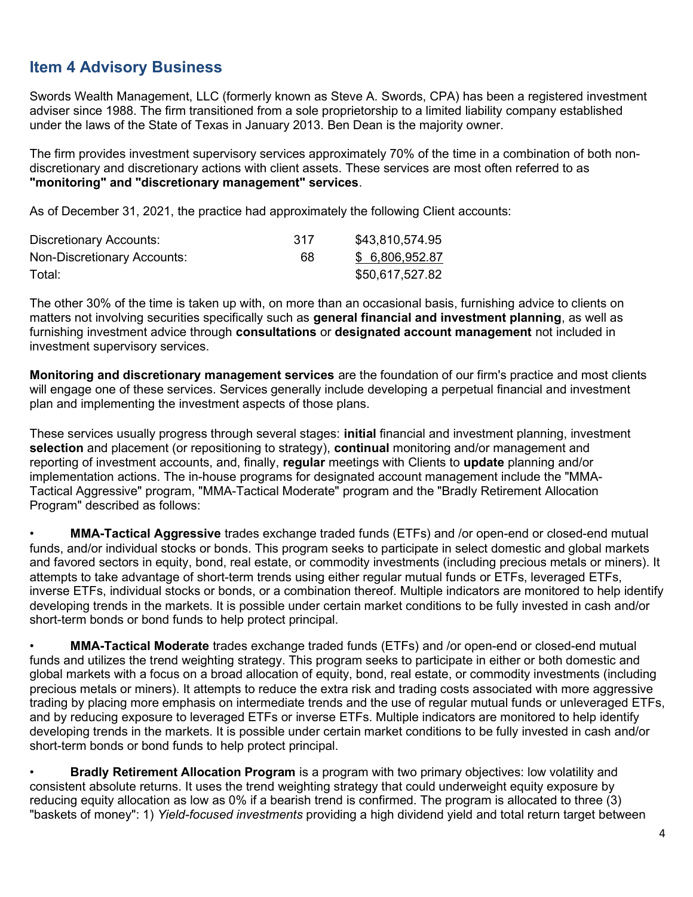## Item 4 Advisory Business

Swords Wealth Management, LLC (formerly known as Steve A. Swords, CPA) has been a registered investment adviser since 1988. The firm transitioned from a sole proprietorship to a limited liability company established under the laws of the State of Texas in January 2013. Ben Dean is the majority owner.

The firm provides investment supervisory services approximately 70% of the time in a combination of both nondiscretionary and discretionary actions with client assets. These services are most often referred to as "monitoring" and "discretionary management" services.

As of December 31, 2021, the practice had approximately the following Client accounts:

| Discretionary Accounts:     | 317 | \$43,810,574.95 |
|-----------------------------|-----|-----------------|
| Non-Discretionary Accounts: | 68  | \$ 6,806,952.87 |
| Total:                      |     | \$50,617,527.82 |

The other 30% of the time is taken up with, on more than an occasional basis, furnishing advice to clients on matters not involving securities specifically such as general financial and investment planning, as well as furnishing investment advice through **consultations** or **designated account management** not included in investment supervisory services.

Monitoring and discretionary management services are the foundation of our firm's practice and most clients will engage one of these services. Services generally include developing a perpetual financial and investment plan and implementing the investment aspects of those plans.

These services usually progress through several stages: **initial** financial and investment planning, investment selection and placement (or repositioning to strategy), continual monitoring and/or management and reporting of investment accounts, and, finally, regular meetings with Clients to update planning and/or implementation actions. The in-house programs for designated account management include the "MMA-Tactical Aggressive" program, "MMA-Tactical Moderate" program and the "Bradly Retirement Allocation Program" described as follows:

• MMA-Tactical Aggressive trades exchange traded funds (ETFs) and /or open-end or closed-end mutual funds, and/or individual stocks or bonds. This program seeks to participate in select domestic and global markets and favored sectors in equity, bond, real estate, or commodity investments (including precious metals or miners). It attempts to take advantage of short-term trends using either regular mutual funds or ETFs, leveraged ETFs, inverse ETFs, individual stocks or bonds, or a combination thereof. Multiple indicators are monitored to help identify developing trends in the markets. It is possible under certain market conditions to be fully invested in cash and/or short-term bonds or bond funds to help protect principal.

• MMA-Tactical Moderate trades exchange traded funds (ETFs) and /or open-end or closed-end mutual funds and utilizes the trend weighting strategy. This program seeks to participate in either or both domestic and global markets with a focus on a broad allocation of equity, bond, real estate, or commodity investments (including precious metals or miners). It attempts to reduce the extra risk and trading costs associated with more aggressive trading by placing more emphasis on intermediate trends and the use of regular mutual funds or unleveraged ETFs, and by reducing exposure to leveraged ETFs or inverse ETFs. Multiple indicators are monitored to help identify developing trends in the markets. It is possible under certain market conditions to be fully invested in cash and/or short-term bonds or bond funds to help protect principal.

• Bradly Retirement Allocation Program is a program with two primary objectives: low volatility and consistent absolute returns. It uses the trend weighting strategy that could underweight equity exposure by reducing equity allocation as low as 0% if a bearish trend is confirmed. The program is allocated to three (3) "baskets of money": 1) Yield-focused investments providing a high dividend yield and total return target between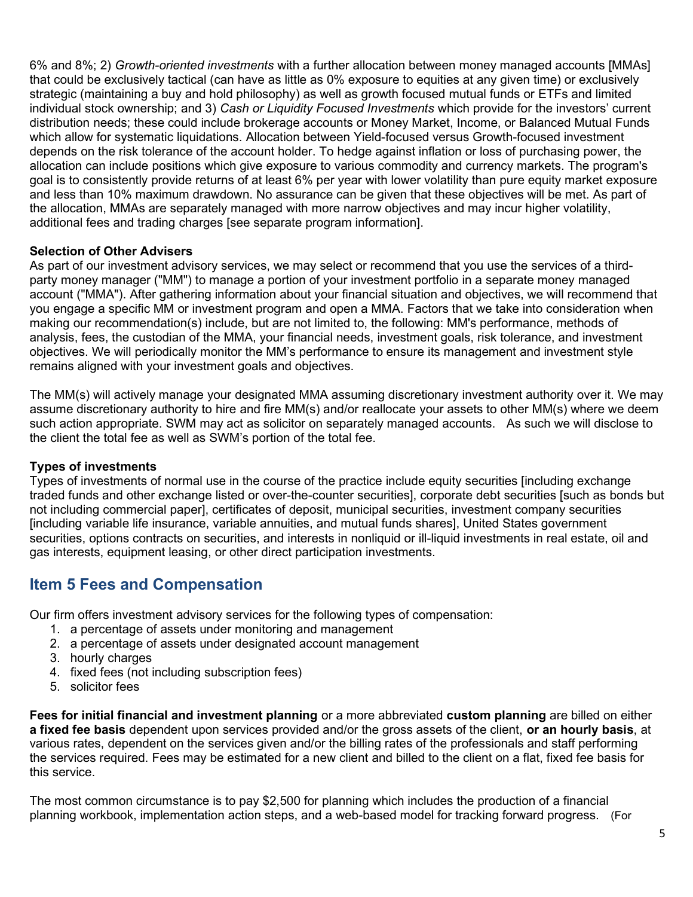6% and 8%; 2) Growth-oriented investments with a further allocation between money managed accounts [MMAs] that could be exclusively tactical (can have as little as 0% exposure to equities at any given time) or exclusively strategic (maintaining a buy and hold philosophy) as well as growth focused mutual funds or ETFs and limited individual stock ownership; and 3) Cash or Liquidity Focused Investments which provide for the investors' current distribution needs; these could include brokerage accounts or Money Market, Income, or Balanced Mutual Funds which allow for systematic liquidations. Allocation between Yield-focused versus Growth-focused investment depends on the risk tolerance of the account holder. To hedge against inflation or loss of purchasing power, the allocation can include positions which give exposure to various commodity and currency markets. The program's goal is to consistently provide returns of at least 6% per year with lower volatility than pure equity market exposure and less than 10% maximum drawdown. No assurance can be given that these objectives will be met. As part of the allocation, MMAs are separately managed with more narrow objectives and may incur higher volatility, additional fees and trading charges [see separate program information].

#### Selection of Other Advisers

As part of our investment advisory services, we may select or recommend that you use the services of a thirdparty money manager ("MM") to manage a portion of your investment portfolio in a separate money managed account ("MMA"). After gathering information about your financial situation and objectives, we will recommend that you engage a specific MM or investment program and open a MMA. Factors that we take into consideration when making our recommendation(s) include, but are not limited to, the following: MM's performance, methods of analysis, fees, the custodian of the MMA, your financial needs, investment goals, risk tolerance, and investment objectives. We will periodically monitor the MM's performance to ensure its management and investment style remains aligned with your investment goals and objectives.

The MM(s) will actively manage your designated MMA assuming discretionary investment authority over it. We may assume discretionary authority to hire and fire MM(s) and/or reallocate your assets to other MM(s) where we deem such action appropriate. SWM may act as solicitor on separately managed accounts. As such we will disclose to the client the total fee as well as SWM's portion of the total fee.

#### Types of investments

Types of investments of normal use in the course of the practice include equity securities [including exchange traded funds and other exchange listed or over-the-counter securities], corporate debt securities [such as bonds but not including commercial paper], certificates of deposit, municipal securities, investment company securities [including variable life insurance, variable annuities, and mutual funds shares], United States government securities, options contracts on securities, and interests in nonliquid or ill-liquid investments in real estate, oil and gas interests, equipment leasing, or other direct participation investments.

## Item 5 Fees and Compensation

Our firm offers investment advisory services for the following types of compensation:

- 1. a percentage of assets under monitoring and management
- 2. a percentage of assets under designated account management
- 3. hourly charges
- 4. fixed fees (not including subscription fees)
- 5. solicitor fees

Fees for initial financial and investment planning or a more abbreviated custom planning are billed on either a fixed fee basis dependent upon services provided and/or the gross assets of the client, or an hourly basis, at various rates, dependent on the services given and/or the billing rates of the professionals and staff performing the services required. Fees may be estimated for a new client and billed to the client on a flat, fixed fee basis for this service.

The most common circumstance is to pay \$2,500 for planning which includes the production of a financial planning workbook, implementation action steps, and a web-based model for tracking forward progress. (For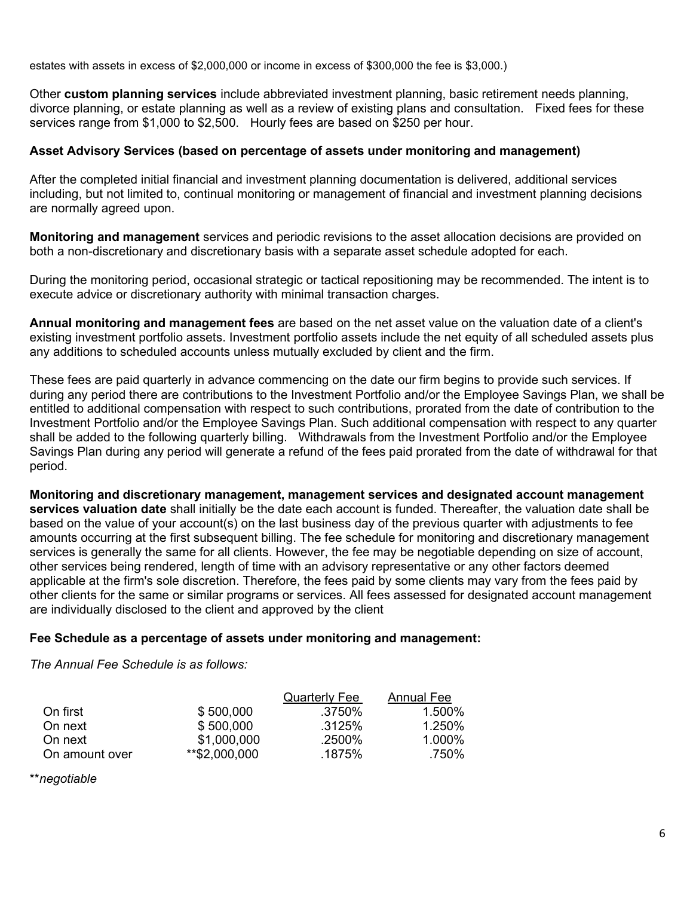estates with assets in excess of \$2,000,000 or income in excess of \$300,000 the fee is \$3,000.)

Other custom planning services include abbreviated investment planning, basic retirement needs planning, divorce planning, or estate planning as well as a review of existing plans and consultation. Fixed fees for these services range from \$1,000 to \$2,500. Hourly fees are based on \$250 per hour.

#### Asset Advisory Services (based on percentage of assets under monitoring and management)

After the completed initial financial and investment planning documentation is delivered, additional services including, but not limited to, continual monitoring or management of financial and investment planning decisions are normally agreed upon.

Monitoring and management services and periodic revisions to the asset allocation decisions are provided on both a non-discretionary and discretionary basis with a separate asset schedule adopted for each.

During the monitoring period, occasional strategic or tactical repositioning may be recommended. The intent is to execute advice or discretionary authority with minimal transaction charges.

Annual monitoring and management fees are based on the net asset value on the valuation date of a client's existing investment portfolio assets. Investment portfolio assets include the net equity of all scheduled assets plus any additions to scheduled accounts unless mutually excluded by client and the firm.

These fees are paid quarterly in advance commencing on the date our firm begins to provide such services. If during any period there are contributions to the Investment Portfolio and/or the Employee Savings Plan, we shall be entitled to additional compensation with respect to such contributions, prorated from the date of contribution to the Investment Portfolio and/or the Employee Savings Plan. Such additional compensation with respect to any quarter shall be added to the following quarterly billing. Withdrawals from the Investment Portfolio and/or the Employee Savings Plan during any period will generate a refund of the fees paid prorated from the date of withdrawal for that period.

Monitoring and discretionary management, management services and designated account management services valuation date shall initially be the date each account is funded. Thereafter, the valuation date shall be based on the value of your account(s) on the last business day of the previous quarter with adjustments to fee amounts occurring at the first subsequent billing. The fee schedule for monitoring and discretionary management services is generally the same for all clients. However, the fee may be negotiable depending on size of account, other services being rendered, length of time with an advisory representative or any other factors deemed applicable at the firm's sole discretion. Therefore, the fees paid by some clients may vary from the fees paid by other clients for the same or similar programs or services. All fees assessed for designated account management are individually disclosed to the client and approved by the client

#### Fee Schedule as a percentage of assets under monitoring and management:

The Annual Fee Schedule is as follows:

|                |               | <b>Quarterly Fee</b> | Annual Fee |
|----------------|---------------|----------------------|------------|
| On first       | \$500,000     | .3750%               | $1.500\%$  |
| On next        | \$500,000     | .3125%               | 1.250%     |
| On next        | \$1,000,000   | .2500%               | $1.000\%$  |
| On amount over | **\$2,000,000 | .1875%               | .750%      |

\*\*negotiable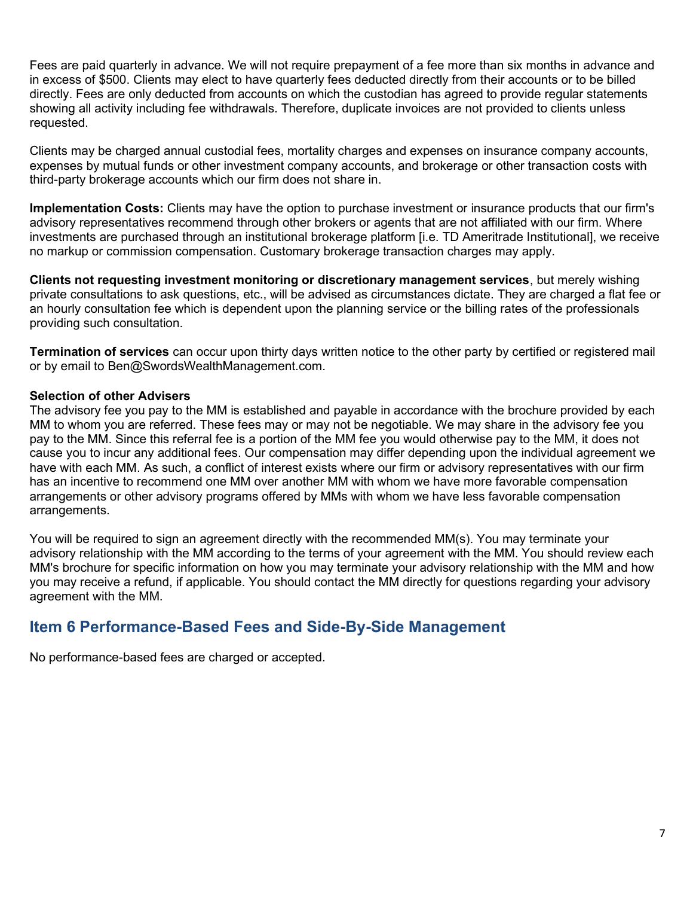Fees are paid quarterly in advance. We will not require prepayment of a fee more than six months in advance and in excess of \$500. Clients may elect to have quarterly fees deducted directly from their accounts or to be billed directly. Fees are only deducted from accounts on which the custodian has agreed to provide regular statements showing all activity including fee withdrawals. Therefore, duplicate invoices are not provided to clients unless requested.

Clients may be charged annual custodial fees, mortality charges and expenses on insurance company accounts, expenses by mutual funds or other investment company accounts, and brokerage or other transaction costs with third-party brokerage accounts which our firm does not share in.

Implementation Costs: Clients may have the option to purchase investment or insurance products that our firm's advisory representatives recommend through other brokers or agents that are not affiliated with our firm. Where investments are purchased through an institutional brokerage platform [i.e. TD Ameritrade Institutional], we receive no markup or commission compensation. Customary brokerage transaction charges may apply.

Clients not requesting investment monitoring or discretionary management services, but merely wishing private consultations to ask questions, etc., will be advised as circumstances dictate. They are charged a flat fee or an hourly consultation fee which is dependent upon the planning service or the billing rates of the professionals providing such consultation.

Termination of services can occur upon thirty days written notice to the other party by certified or registered mail or by email to Ben@SwordsWealthManagement.com.

#### Selection of other Advisers

The advisory fee you pay to the MM is established and payable in accordance with the brochure provided by each MM to whom you are referred. These fees may or may not be negotiable. We may share in the advisory fee you pay to the MM. Since this referral fee is a portion of the MM fee you would otherwise pay to the MM, it does not cause you to incur any additional fees. Our compensation may differ depending upon the individual agreement we have with each MM. As such, a conflict of interest exists where our firm or advisory representatives with our firm has an incentive to recommend one MM over another MM with whom we have more favorable compensation arrangements or other advisory programs offered by MMs with whom we have less favorable compensation arrangements.

You will be required to sign an agreement directly with the recommended MM(s). You may terminate your advisory relationship with the MM according to the terms of your agreement with the MM. You should review each MM's brochure for specific information on how you may terminate your advisory relationship with the MM and how you may receive a refund, if applicable. You should contact the MM directly for questions regarding your advisory agreement with the MM.

## Item 6 Performance-Based Fees and Side-By-Side Management

No performance-based fees are charged or accepted.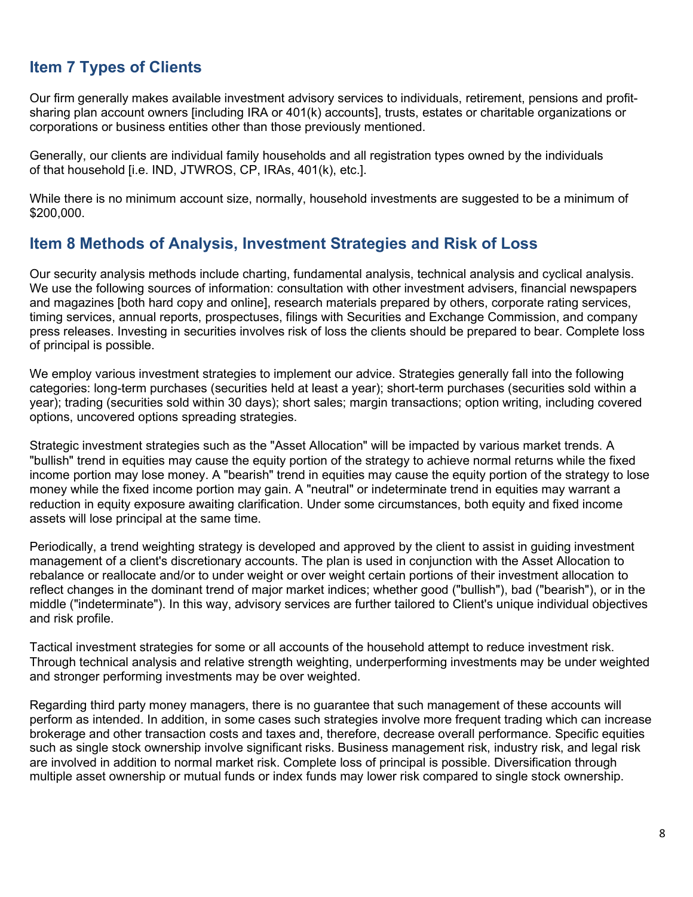## Item 7 Types of Clients

Our firm generally makes available investment advisory services to individuals, retirement, pensions and profitsharing plan account owners [including IRA or 401(k) accounts], trusts, estates or charitable organizations or corporations or business entities other than those previously mentioned.

Generally, our clients are individual family households and all registration types owned by the individuals of that household [i.e. IND, JTWROS, CP, IRAs, 401(k), etc.].

While there is no minimum account size, normally, household investments are suggested to be a minimum of \$200,000.

## Item 8 Methods of Analysis, Investment Strategies and Risk of Loss

Our security analysis methods include charting, fundamental analysis, technical analysis and cyclical analysis. We use the following sources of information: consultation with other investment advisers, financial newspapers and magazines [both hard copy and online], research materials prepared by others, corporate rating services, timing services, annual reports, prospectuses, filings with Securities and Exchange Commission, and company press releases. Investing in securities involves risk of loss the clients should be prepared to bear. Complete loss of principal is possible.

We employ various investment strategies to implement our advice. Strategies generally fall into the following categories: long-term purchases (securities held at least a year); short-term purchases (securities sold within a year); trading (securities sold within 30 days); short sales; margin transactions; option writing, including covered options, uncovered options spreading strategies.

Strategic investment strategies such as the "Asset Allocation" will be impacted by various market trends. A "bullish" trend in equities may cause the equity portion of the strategy to achieve normal returns while the fixed income portion may lose money. A "bearish" trend in equities may cause the equity portion of the strategy to lose money while the fixed income portion may gain. A "neutral" or indeterminate trend in equities may warrant a reduction in equity exposure awaiting clarification. Under some circumstances, both equity and fixed income assets will lose principal at the same time.

Periodically, a trend weighting strategy is developed and approved by the client to assist in guiding investment management of a client's discretionary accounts. The plan is used in conjunction with the Asset Allocation to rebalance or reallocate and/or to under weight or over weight certain portions of their investment allocation to reflect changes in the dominant trend of major market indices; whether good ("bullish"), bad ("bearish"), or in the middle ("indeterminate"). In this way, advisory services are further tailored to Client's unique individual objectives and risk profile.

Tactical investment strategies for some or all accounts of the household attempt to reduce investment risk. Through technical analysis and relative strength weighting, underperforming investments may be under weighted and stronger performing investments may be over weighted.

Regarding third party money managers, there is no guarantee that such management of these accounts will perform as intended. In addition, in some cases such strategies involve more frequent trading which can increase brokerage and other transaction costs and taxes and, therefore, decrease overall performance. Specific equities such as single stock ownership involve significant risks. Business management risk, industry risk, and legal risk are involved in addition to normal market risk. Complete loss of principal is possible. Diversification through multiple asset ownership or mutual funds or index funds may lower risk compared to single stock ownership.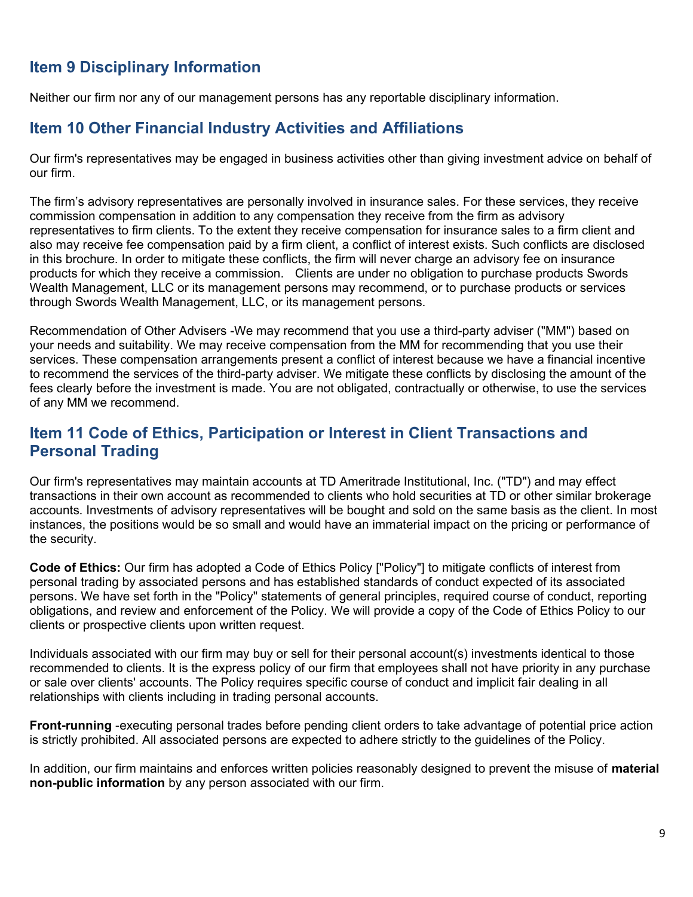## Item 9 Disciplinary Information

Neither our firm nor any of our management persons has any reportable disciplinary information.

## Item 10 Other Financial Industry Activities and Affiliations

Our firm's representatives may be engaged in business activities other than giving investment advice on behalf of our firm.

The firm's advisory representatives are personally involved in insurance sales. For these services, they receive commission compensation in addition to any compensation they receive from the firm as advisory representatives to firm clients. To the extent they receive compensation for insurance sales to a firm client and also may receive fee compensation paid by a firm client, a conflict of interest exists. Such conflicts are disclosed in this brochure. In order to mitigate these conflicts, the firm will never charge an advisory fee on insurance products for which they receive a commission. Clients are under no obligation to purchase products Swords Wealth Management, LLC or its management persons may recommend, or to purchase products or services through Swords Wealth Management, LLC, or its management persons.

Recommendation of Other Advisers -We may recommend that you use a third-party adviser ("MM") based on your needs and suitability. We may receive compensation from the MM for recommending that you use their services. These compensation arrangements present a conflict of interest because we have a financial incentive to recommend the services of the third-party adviser. We mitigate these conflicts by disclosing the amount of the fees clearly before the investment is made. You are not obligated, contractually or otherwise, to use the services of any MM we recommend.

## Item 11 Code of Ethics, Participation or Interest in Client Transactions and Personal Trading

Our firm's representatives may maintain accounts at TD Ameritrade Institutional, Inc. ("TD") and may effect transactions in their own account as recommended to clients who hold securities at TD or other similar brokerage accounts. Investments of advisory representatives will be bought and sold on the same basis as the client. In most instances, the positions would be so small and would have an immaterial impact on the pricing or performance of the security.

Code of Ethics: Our firm has adopted a Code of Ethics Policy ["Policy"] to mitigate conflicts of interest from personal trading by associated persons and has established standards of conduct expected of its associated persons. We have set forth in the "Policy" statements of general principles, required course of conduct, reporting obligations, and review and enforcement of the Policy. We will provide a copy of the Code of Ethics Policy to our clients or prospective clients upon written request.

Individuals associated with our firm may buy or sell for their personal account(s) investments identical to those recommended to clients. It is the express policy of our firm that employees shall not have priority in any purchase or sale over clients' accounts. The Policy requires specific course of conduct and implicit fair dealing in all relationships with clients including in trading personal accounts.

Front-running -executing personal trades before pending client orders to take advantage of potential price action is strictly prohibited. All associated persons are expected to adhere strictly to the guidelines of the Policy.

In addition, our firm maintains and enforces written policies reasonably designed to prevent the misuse of material non-public information by any person associated with our firm.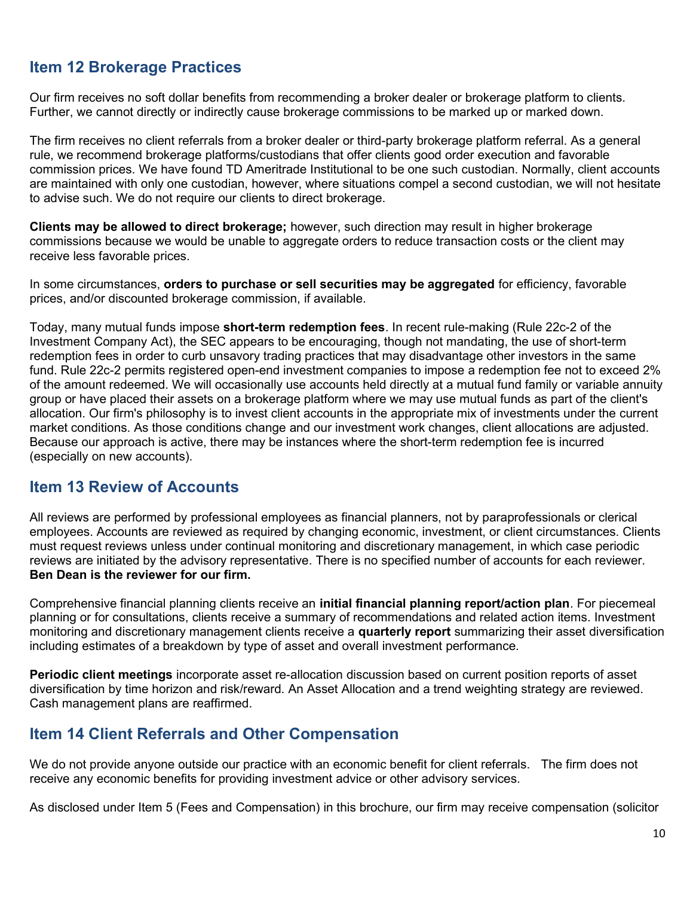## Item 12 Brokerage Practices

Our firm receives no soft dollar benefits from recommending a broker dealer or brokerage platform to clients. Further, we cannot directly or indirectly cause brokerage commissions to be marked up or marked down.

The firm receives no client referrals from a broker dealer or third-party brokerage platform referral. As a general rule, we recommend brokerage platforms/custodians that offer clients good order execution and favorable commission prices. We have found TD Ameritrade Institutional to be one such custodian. Normally, client accounts are maintained with only one custodian, however, where situations compel a second custodian, we will not hesitate to advise such. We do not require our clients to direct brokerage.

Clients may be allowed to direct brokerage; however, such direction may result in higher brokerage commissions because we would be unable to aggregate orders to reduce transaction costs or the client may receive less favorable prices.

In some circumstances, **orders to purchase or sell securities may be aggregated** for efficiency, favorable prices, and/or discounted brokerage commission, if available.

Today, many mutual funds impose **short-term redemption fees**. In recent rule-making (Rule 22c-2 of the Investment Company Act), the SEC appears to be encouraging, though not mandating, the use of short-term redemption fees in order to curb unsavory trading practices that may disadvantage other investors in the same fund. Rule 22c-2 permits registered open-end investment companies to impose a redemption fee not to exceed 2% of the amount redeemed. We will occasionally use accounts held directly at a mutual fund family or variable annuity group or have placed their assets on a brokerage platform where we may use mutual funds as part of the client's allocation. Our firm's philosophy is to invest client accounts in the appropriate mix of investments under the current market conditions. As those conditions change and our investment work changes, client allocations are adjusted. Because our approach is active, there may be instances where the short-term redemption fee is incurred (especially on new accounts).

### Item 13 Review of Accounts

All reviews are performed by professional employees as financial planners, not by paraprofessionals or clerical employees. Accounts are reviewed as required by changing economic, investment, or client circumstances. Clients must request reviews unless under continual monitoring and discretionary management, in which case periodic reviews are initiated by the advisory representative. There is no specified number of accounts for each reviewer. Ben Dean is the reviewer for our firm.

Comprehensive financial planning clients receive an **initial financial planning report/action plan**. For piecemeal planning or for consultations, clients receive a summary of recommendations and related action items. Investment monitoring and discretionary management clients receive a quarterly report summarizing their asset diversification including estimates of a breakdown by type of asset and overall investment performance.

Periodic client meetings incorporate asset re-allocation discussion based on current position reports of asset diversification by time horizon and risk/reward. An Asset Allocation and a trend weighting strategy are reviewed. Cash management plans are reaffirmed.

## Item 14 Client Referrals and Other Compensation

We do not provide anyone outside our practice with an economic benefit for client referrals. The firm does not receive any economic benefits for providing investment advice or other advisory services.

As disclosed under Item 5 (Fees and Compensation) in this brochure, our firm may receive compensation (solicitor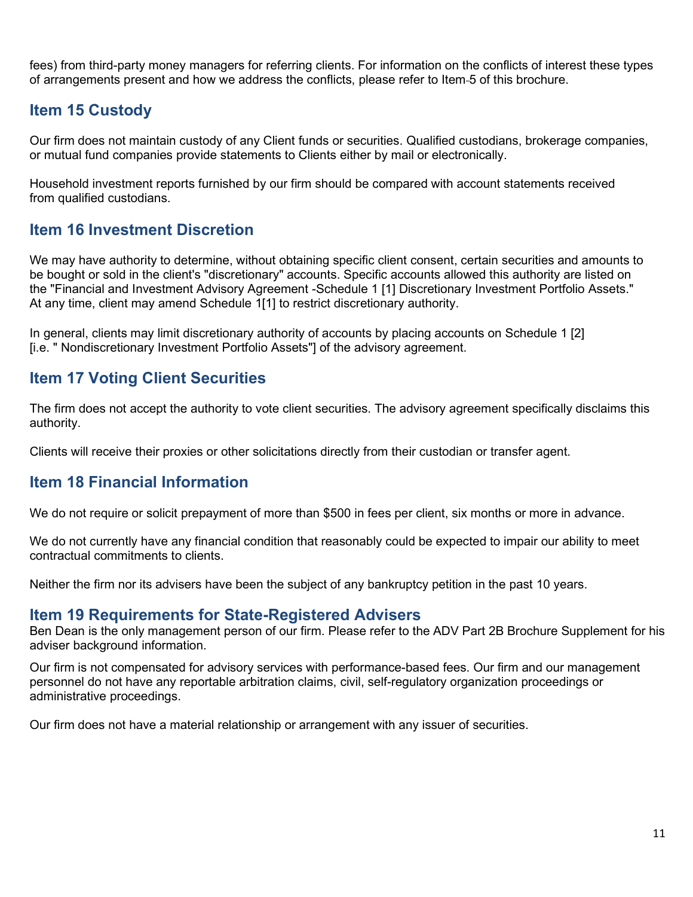fees) from third-party money managers for referring clients. For information on the conflicts of interest these types of arrangements present and how we address the conflicts, please refer to Item 5 of this brochure.

## Item 15 Custody

Our firm does not maintain custody of any Client funds or securities. Qualified custodians, brokerage companies, or mutual fund companies provide statements to Clients either by mail or electronically.

Household investment reports furnished by our firm should be compared with account statements received from qualified custodians.

## Item 16 Investment Discretion

We may have authority to determine, without obtaining specific client consent, certain securities and amounts to be bought or sold in the client's "discretionary" accounts. Specific accounts allowed this authority are listed on the "Financial and Investment Advisory Agreement -Schedule 1 [1] Discretionary Investment Portfolio Assets." At any time, client may amend Schedule 1[1] to restrict discretionary authority.

In general, clients may limit discretionary authority of accounts by placing accounts on Schedule 1 [2] [i.e. " Nondiscretionary Investment Portfolio Assets"] of the advisory agreement.

## Item 17 Voting Client Securities

The firm does not accept the authority to vote client securities. The advisory agreement specifically disclaims this authority.

Clients will receive their proxies or other solicitations directly from their custodian or transfer agent.

## Item 18 Financial Information

We do not require or solicit prepayment of more than \$500 in fees per client, six months or more in advance.

We do not currently have any financial condition that reasonably could be expected to impair our ability to meet contractual commitments to clients.

Neither the firm nor its advisers have been the subject of any bankruptcy petition in the past 10 years.

#### Item 19 Requirements for State-Registered Advisers

Ben Dean is the only management person of our firm. Please refer to the ADV Part 2B Brochure Supplement for his adviser background information.

Our firm is not compensated for advisory services with performance-based fees. Our firm and our management personnel do not have any reportable arbitration claims, civil, self-regulatory organization proceedings or administrative proceedings.

Our firm does not have a material relationship or arrangement with any issuer of securities.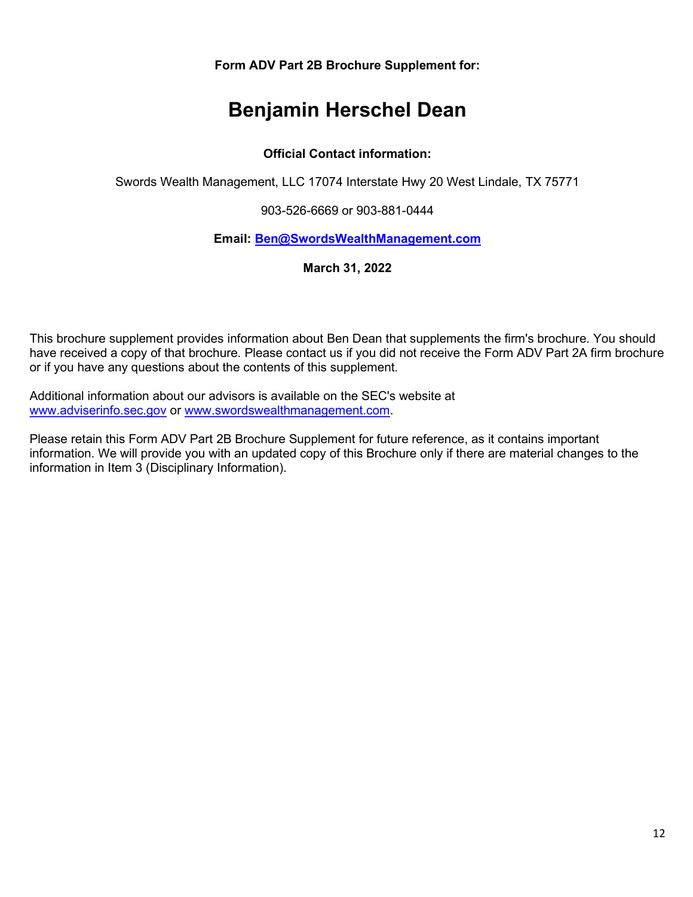Form ADV Part 2B Brochure Supplement for:

# Benjamin Herschel Dean

#### Official Contact information:

Swords Wealth Management, LLC 17074 Interstate Hwy 20 West Lindale, TX 75771

903-526-6669 or 903-881-0444

#### Email: Ben@SwordsWealthManagement.com

March 31, 2022

This brochure supplement provides information about Ben Dean that supplements the firm's brochure. You should have received a copy of that brochure. Please contact us if you did not receive the Form ADV Part 2A firm brochure or if you have any questions about the contents of this supplement.

Additional information about our advisors is available on the SEC's website at www.adviserinfo.sec.gov or www.swordswealthmanagement.com.

Please retain this Form ADV Part 2B Brochure Supplement for future reference, as it contains important information. We will provide you with an updated copy of this Brochure only if there are material changes to the information in Item 3 (Disciplinary Information).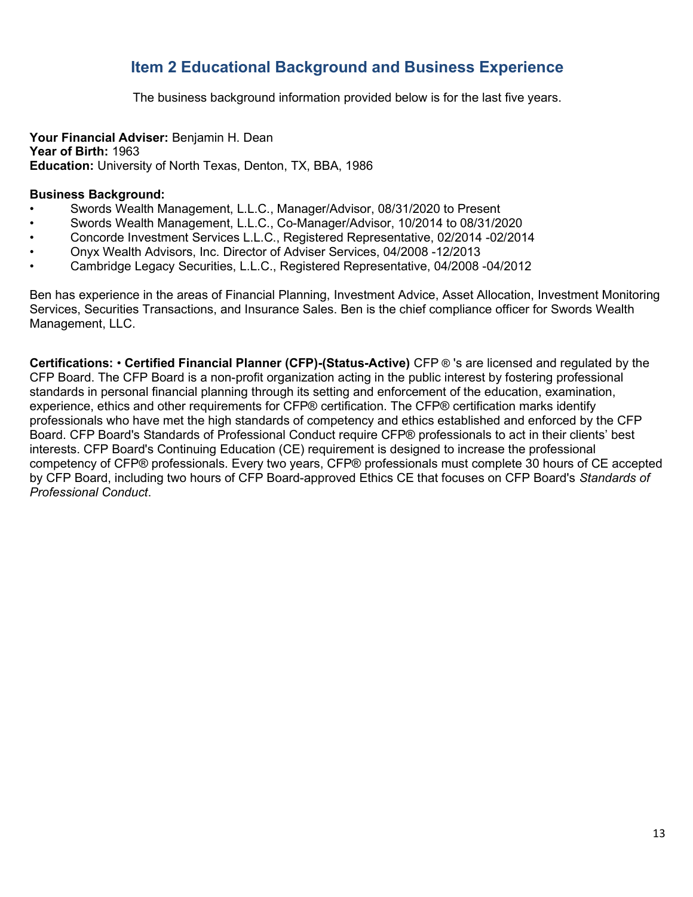## Item 2 Educational Background and Business Experience

The business background information provided below is for the last five years.

#### Your Financial Adviser: Benjamin H. Dean

Year of Birth: 1963 Education: University of North Texas, Denton, TX, BBA, 1986

#### Business Background:

- Swords Wealth Management, L.L.C., Manager/Advisor, 08/31/2020 to Present
- Swords Wealth Management, L.L.C., Co-Manager/Advisor, 10/2014 to 08/31/2020
- Concorde Investment Services L.L.C., Registered Representative, 02/2014 -02/2014
- Onyx Wealth Advisors, Inc. Director of Adviser Services, 04/2008 -12/2013
- Cambridge Legacy Securities, L.L.C., Registered Representative, 04/2008 -04/2012

Ben has experience in the areas of Financial Planning, Investment Advice, Asset Allocation, Investment Monitoring Services, Securities Transactions, and Insurance Sales. Ben is the chief compliance officer for Swords Wealth Management, LLC.

Certifications: • Certified Financial Planner (CFP)-(Status-Active) CFP ® 's are licensed and regulated by the CFP Board. The CFP Board is a non-profit organization acting in the public interest by fostering professional standards in personal financial planning through its setting and enforcement of the education, examination, experience, ethics and other requirements for CFP® certification. The CFP® certification marks identify professionals who have met the high standards of competency and ethics established and enforced by the CFP Board. CFP Board's Standards of Professional Conduct require CFP® professionals to act in their clients' best interests. CFP Board's Continuing Education (CE) requirement is designed to increase the professional competency of CFP® professionals. Every two years, CFP® professionals must complete 30 hours of CE accepted by CFP Board, including two hours of CFP Board-approved Ethics CE that focuses on CFP Board's Standards of Professional Conduct.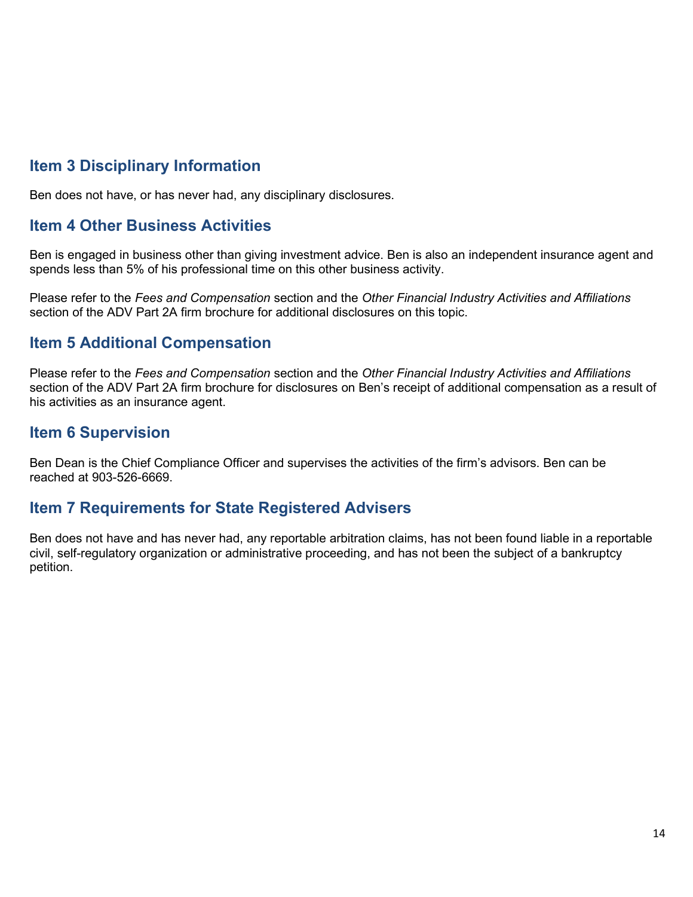## Item 3 Disciplinary Information

Ben does not have, or has never had, any disciplinary disclosures.

## Item 4 Other Business Activities

Ben is engaged in business other than giving investment advice. Ben is also an independent insurance agent and spends less than 5% of his professional time on this other business activity.

Please refer to the Fees and Compensation section and the Other Financial Industry Activities and Affiliations section of the ADV Part 2A firm brochure for additional disclosures on this topic.

## Item 5 Additional Compensation

Please refer to the Fees and Compensation section and the Other Financial Industry Activities and Affiliations section of the ADV Part 2A firm brochure for disclosures on Ben's receipt of additional compensation as a result of his activities as an insurance agent.

## Item 6 Supervision

Ben Dean is the Chief Compliance Officer and supervises the activities of the firm's advisors. Ben can be reached at 903-526-6669.

### Item 7 Requirements for State Registered Advisers

Ben does not have and has never had, any reportable arbitration claims, has not been found liable in a reportable civil, self-regulatory organization or administrative proceeding, and has not been the subject of a bankruptcy petition.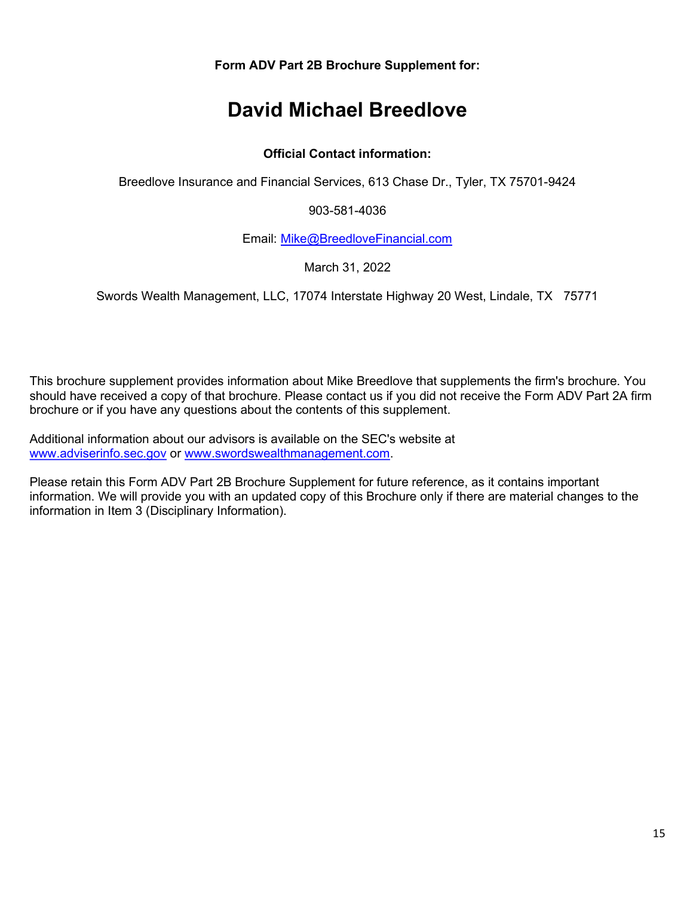Form ADV Part 2B Brochure Supplement for:

# David Michael Breedlove

#### Official Contact information:

Breedlove Insurance and Financial Services, 613 Chase Dr., Tyler, TX 75701-9424

903-581-4036

Email: Mike@BreedloveFinancial.com

March 31, 2022

Swords Wealth Management, LLC, 17074 Interstate Highway 20 West, Lindale, TX 75771

This brochure supplement provides information about Mike Breedlove that supplements the firm's brochure. You should have received a copy of that brochure. Please contact us if you did not receive the Form ADV Part 2A firm brochure or if you have any questions about the contents of this supplement.

Additional information about our advisors is available on the SEC's website at www.adviserinfo.sec.gov or www.swordswealthmanagement.com.

Please retain this Form ADV Part 2B Brochure Supplement for future reference, as it contains important information. We will provide you with an updated copy of this Brochure only if there are material changes to the information in Item 3 (Disciplinary Information).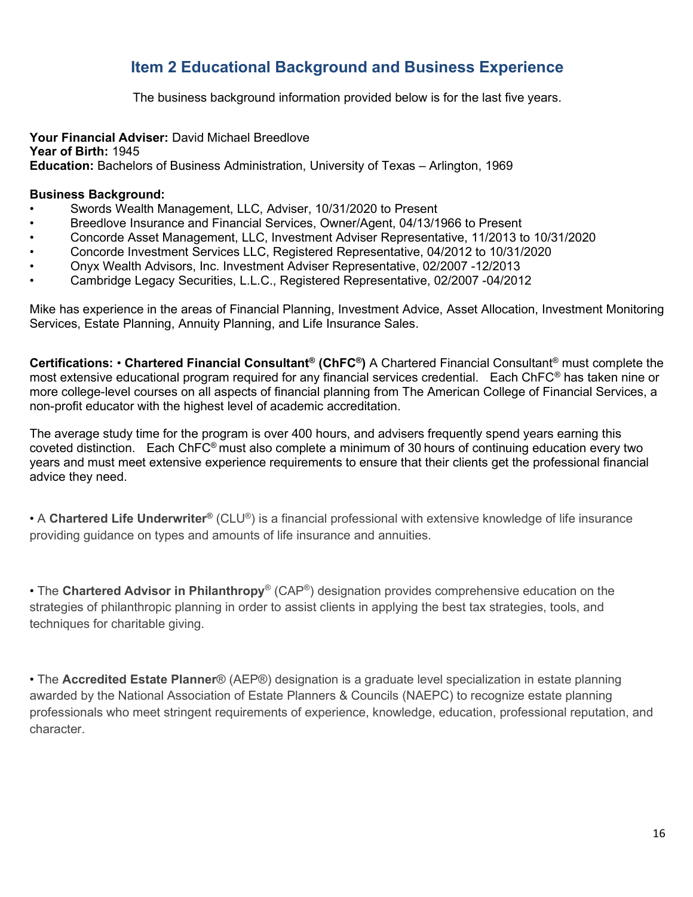## Item 2 Educational Background and Business Experience

The business background information provided below is for the last five years.

#### Your Financial Adviser: David Michael Breedlove

Year of Birth: 1945 Education: Bachelors of Business Administration, University of Texas – Arlington, 1969

#### Business Background:

- Swords Wealth Management, LLC, Adviser, 10/31/2020 to Present
- Breedlove Insurance and Financial Services, Owner/Agent, 04/13/1966 to Present
- Concorde Asset Management, LLC, Investment Adviser Representative, 11/2013 to 10/31/2020
- Concorde Investment Services LLC, Registered Representative, 04/2012 to 10/31/2020
- Onyx Wealth Advisors, Inc. Investment Adviser Representative, 02/2007 -12/2013
- Cambridge Legacy Securities, L.L.C., Registered Representative, 02/2007 -04/2012

Mike has experience in the areas of Financial Planning, Investment Advice, Asset Allocation, Investment Monitoring Services, Estate Planning, Annuity Planning, and Life Insurance Sales.

Certifications: • Chartered Financial Consultant® (ChFC®) A Chartered Financial Consultant® must complete the most extensive educational program required for any financial services credential. Each ChFC® has taken nine or more college-level courses on all aspects of financial planning from The American College of Financial Services, a non-profit educator with the highest level of academic accreditation.

The average study time for the program is over 400 hours, and advisers frequently spend years earning this coveted distinction. Each ChFC® must also complete a minimum of 30 hours of continuing education every two years and must meet extensive experience requirements to ensure that their clients get the professional financial advice they need.

• A Chartered Life Underwriter® (CLU®) is a financial professional with extensive knowledge of life insurance providing guidance on types and amounts of life insurance and annuities.

• The Chartered Advisor in Philanthropy® (CAP®) designation provides comprehensive education on the strategies of philanthropic planning in order to assist clients in applying the best tax strategies, tools, and techniques for charitable giving.

• The Accredited Estate Planner® (AEP®) designation is a graduate level specialization in estate planning awarded by the National Association of Estate Planners & Councils (NAEPC) to recognize estate planning professionals who meet stringent requirements of experience, knowledge, education, professional reputation, and character.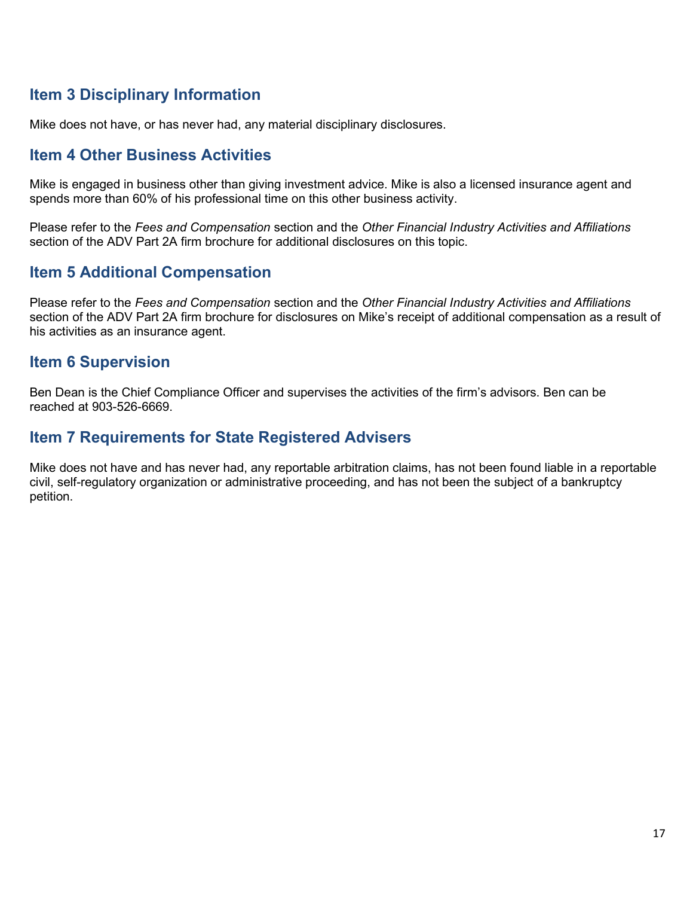## Item 3 Disciplinary Information

Mike does not have, or has never had, any material disciplinary disclosures.

### Item 4 Other Business Activities

Mike is engaged in business other than giving investment advice. Mike is also a licensed insurance agent and spends more than 60% of his professional time on this other business activity.

Please refer to the Fees and Compensation section and the Other Financial Industry Activities and Affiliations section of the ADV Part 2A firm brochure for additional disclosures on this topic.

## Item 5 Additional Compensation

Please refer to the Fees and Compensation section and the Other Financial Industry Activities and Affiliations section of the ADV Part 2A firm brochure for disclosures on Mike's receipt of additional compensation as a result of his activities as an insurance agent.

### Item 6 Supervision

Ben Dean is the Chief Compliance Officer and supervises the activities of the firm's advisors. Ben can be reached at 903-526-6669.

### Item 7 Requirements for State Registered Advisers

Mike does not have and has never had, any reportable arbitration claims, has not been found liable in a reportable civil, self-regulatory organization or administrative proceeding, and has not been the subject of a bankruptcy petition.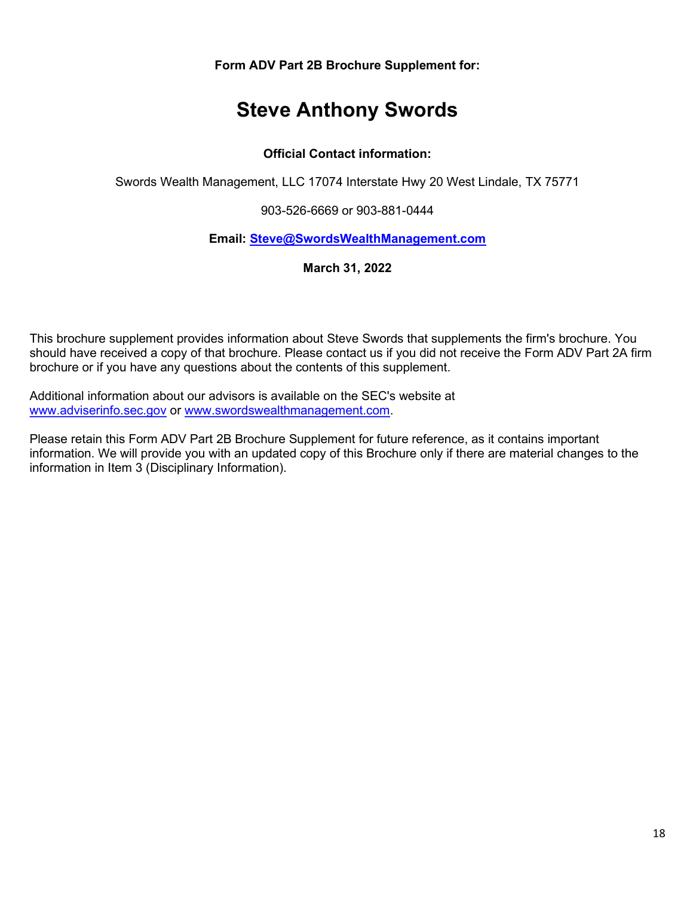Form ADV Part 2B Brochure Supplement for:

# Steve Anthony Swords

#### Official Contact information:

Swords Wealth Management, LLC 17074 Interstate Hwy 20 West Lindale, TX 75771

903-526-6669 or 903-881-0444

#### Email: Steve@SwordsWealthManagement.com

March 31, 2022

This brochure supplement provides information about Steve Swords that supplements the firm's brochure. You should have received a copy of that brochure. Please contact us if you did not receive the Form ADV Part 2A firm brochure or if you have any questions about the contents of this supplement.

Additional information about our advisors is available on the SEC's website at www.adviserinfo.sec.gov or www.swordswealthmanagement.com.

Please retain this Form ADV Part 2B Brochure Supplement for future reference, as it contains important information. We will provide you with an updated copy of this Brochure only if there are material changes to the information in Item 3 (Disciplinary Information).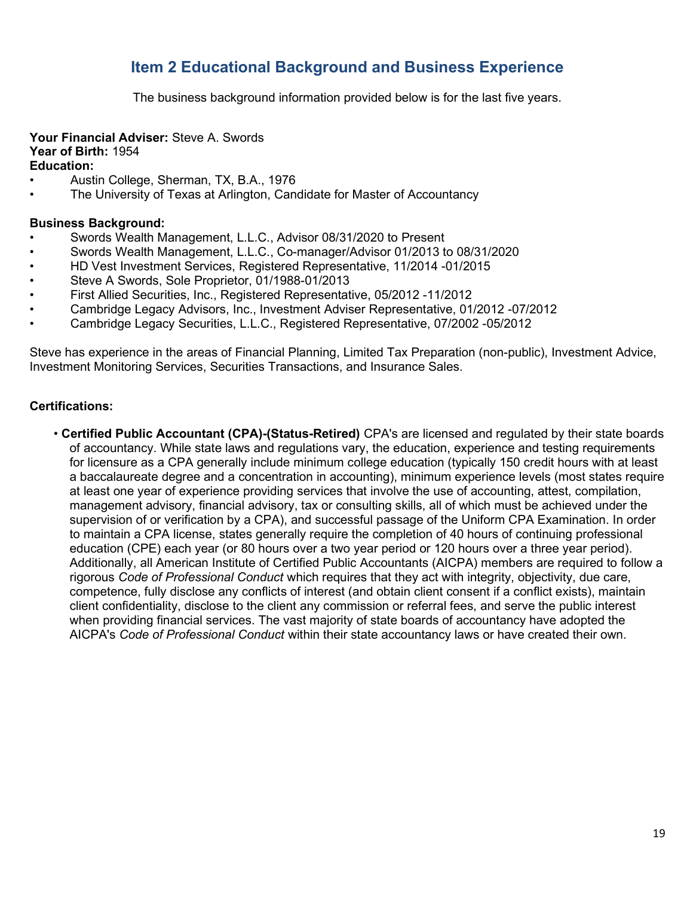## Item 2 Educational Background and Business Experience

The business background information provided below is for the last five years.

#### Your Financial Adviser: Steve A. Swords Year of Birth: 1954 Education:

- Austin College, Sherman, TX, B.A., 1976
- The University of Texas at Arlington, Candidate for Master of Accountancy

#### Business Background:

- Swords Wealth Management, L.L.C., Advisor 08/31/2020 to Present
- Swords Wealth Management, L.L.C., Co-manager/Advisor 01/2013 to 08/31/2020
- HD Vest Investment Services, Registered Representative, 11/2014 -01/2015
- Steve A Swords, Sole Proprietor, 01/1988-01/2013
- First Allied Securities, Inc., Registered Representative, 05/2012 -11/2012
- Cambridge Legacy Advisors, Inc., Investment Adviser Representative, 01/2012 -07/2012
- Cambridge Legacy Securities, L.L.C., Registered Representative, 07/2002 -05/2012

Steve has experience in the areas of Financial Planning, Limited Tax Preparation (non-public), Investment Advice, Investment Monitoring Services, Securities Transactions, and Insurance Sales.

#### Certifications:

• Certified Public Accountant (CPA)-(Status-Retired) CPA's are licensed and regulated by their state boards of accountancy. While state laws and regulations vary, the education, experience and testing requirements for licensure as a CPA generally include minimum college education (typically 150 credit hours with at least a baccalaureate degree and a concentration in accounting), minimum experience levels (most states require at least one year of experience providing services that involve the use of accounting, attest, compilation, management advisory, financial advisory, tax or consulting skills, all of which must be achieved under the supervision of or verification by a CPA), and successful passage of the Uniform CPA Examination. In order to maintain a CPA license, states generally require the completion of 40 hours of continuing professional education (CPE) each year (or 80 hours over a two year period or 120 hours over a three year period). Additionally, all American Institute of Certified Public Accountants (AICPA) members are required to follow a rigorous Code of Professional Conduct which requires that they act with integrity, objectivity, due care, competence, fully disclose any conflicts of interest (and obtain client consent if a conflict exists), maintain client confidentiality, disclose to the client any commission or referral fees, and serve the public interest when providing financial services. The vast majority of state boards of accountancy have adopted the AICPA's Code of Professional Conduct within their state accountancy laws or have created their own.